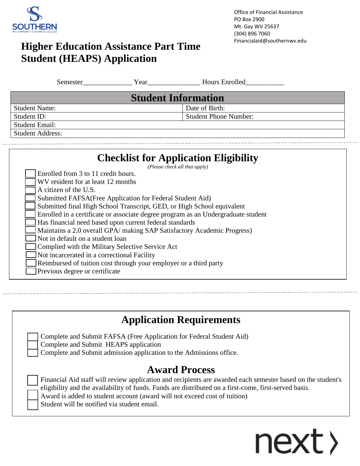

# Financialaid@southernwv.edu **Higher Education Assistance Part Time Student (HEAPS) Application**

| Semester                                                                      | Year | <b>Hours Enrolled</b>        |  |  |  |  |
|-------------------------------------------------------------------------------|------|------------------------------|--|--|--|--|
| <b>Student Information</b>                                                    |      |                              |  |  |  |  |
| <b>Student Name:</b>                                                          |      | Date of Birth:               |  |  |  |  |
| Student ID:                                                                   |      | <b>Student Phone Number:</b> |  |  |  |  |
| <b>Student Email:</b>                                                         |      |                              |  |  |  |  |
| <b>Student Address:</b>                                                       |      |                              |  |  |  |  |
|                                                                               |      |                              |  |  |  |  |
| <b>Checklist for Application Eligibility</b><br>(Please check all that apply) |      |                              |  |  |  |  |
| Enrolled from 3 to 11 credit hours.                                           |      |                              |  |  |  |  |
| WV resident for at least 12 months                                            |      |                              |  |  |  |  |
| A citizen of the U.S.                                                         |      |                              |  |  |  |  |
| Submitted FAFSA (Free Application for Federal Student Aid)                    |      |                              |  |  |  |  |
| Submitted final High School Transcript, GED, or High School equivalent        |      |                              |  |  |  |  |
|                                                                               |      |                              |  |  |  |  |

Enrolled in a certificate or associate degree program as an Undergraduate student

Has financial need based upon current federal standards

Maintains a 2.0 overall GPA/ making SAP Satisfactory Academic Progress)

Not in default on a student loan

Complied with the Military Selective Service Act

Not incarcerated in a correctional Facility

Reimbursed of tuition cost through your employer or a third party

Previous degree or certificate

## **Application Requirements**

| Complete and Submit FAFSA (Free Application for Federal Student Aid) |
|----------------------------------------------------------------------|
| Complete and Submit HEAPS application                                |
| Complete and Submit admission application to the Admissions office.  |

## **Award Process**

| Financial Aid staff will review application and recipients are awarded each semester based on the student's    |
|----------------------------------------------------------------------------------------------------------------|
| $\equiv$ eligibility and the availability of funds. Funds are distributed on a first-come, first-served basis. |
| Award is added to student account (award will not exceed cost of tuition)                                      |
| Student will be notified via student email.                                                                    |

# next >